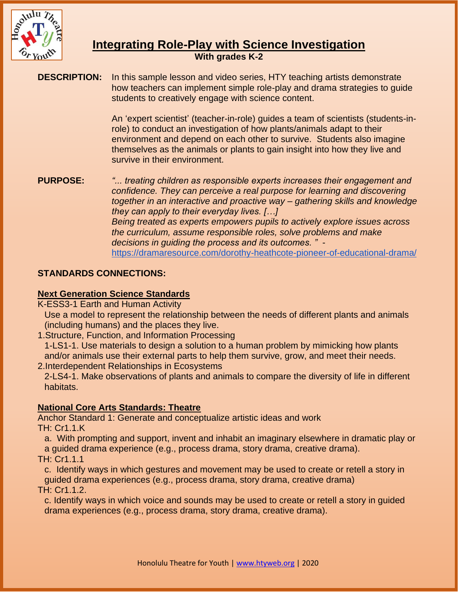

# **Integrating Role-Play with Science Investigation**

**With grades K-2**

**DESCRIPTION:** In this sample lesson and video series, HTY teaching artists demonstrate how teachers can implement simple role-play and drama strategies to guide students to creatively engage with science content.

> An 'expert scientist' (teacher-in-role) guides a team of scientists (students-inrole) to conduct an investigation of how plants/animals adapt to their environment and depend on each other to survive. Students also imagine themselves as the animals or plants to gain insight into how they live and survive in their environment.

#### **PURPOSE:** *"... treating children as responsible experts increases their engagement and confidence. They can perceive a real purpose for learning and discovering together in an interactive and proactive way – gathering skills and knowledge they can apply to their everyday lives. […]*

*Being treated as experts empowers pupils to actively explore issues across the curriculum, assume responsible roles, solve problems and make decisions in guiding the process and its outcomes. "* <https://dramaresource.com/dorothy-heathcote-pioneer-of-educational-drama/>

# **STANDARDS CONNECTIONS:**

# **Next Generation Science Standards**

K-ESS3-1 Earth and Human Activity

Use a model to represent the relationship between the needs of different plants and animals (including humans) and the places they live.

1.Structure, Function, and Information Processing

1-LS1-1. Use materials to design a solution to a human problem by mimicking how plants and/or animals use their external parts to help them survive, grow, and meet their needs. 2.Interdependent Relationships in Ecosystems

2-LS4-1. Make observations of plants and animals to compare the diversity of life in different habitats.

# **National Core Arts Standards: Theatre**

Anchor Standard 1: Generate and conceptualize artistic ideas and work TH: Cr1.1.K

a. With prompting and support, invent and inhabit an imaginary elsewhere in dramatic play or a guided drama experience (e.g., process drama, story drama, creative drama).

TH: Cr1.1.1

c. Identify ways in which gestures and movement may be used to create or retell a story in guided drama experiences (e.g., process drama, story drama, creative drama)

TH: Cr1.1.2.

c. Identify ways in which voice and sounds may be used to create or retell a story in guided drama experiences (e.g., process drama, story drama, creative drama).